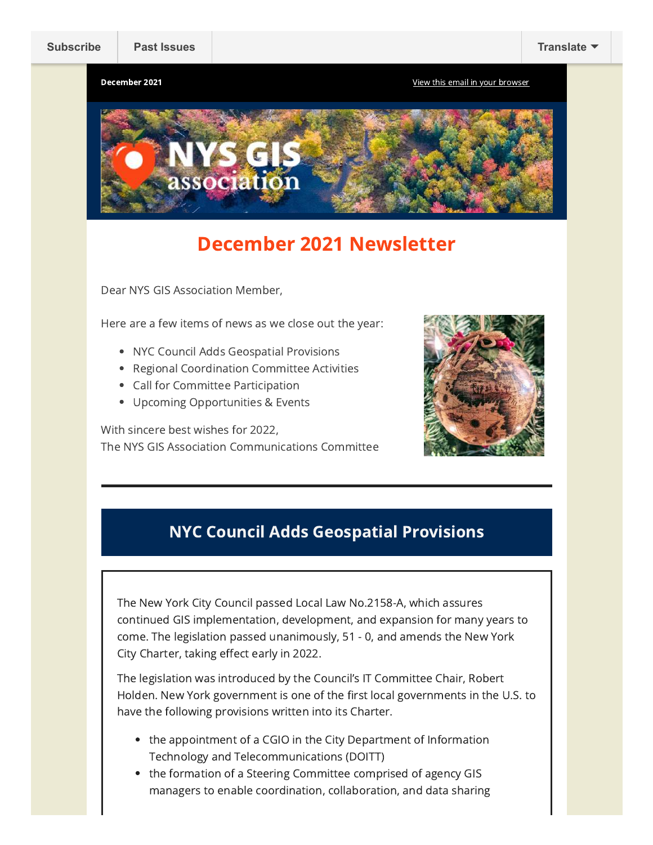**December 2021 December 2021 December 2021 December 2021** 



## December 2021 Newsletter

Dear NYS GIS Association Member,

Here are a few items of news as we close out the year:

- NYC Council Adds Geospatial Provisions
- Regional Coordination Committee Activities
- Call for Committee Participation
- Upcoming Opportunities & Events

With sincere best wishes for 2022, The NYS GIS Association Communications Committee



## NYC Council Adds Geospatial Provisions

The New York City Council passed Local Law No.2158-A, which assures continued GIS implementation, development, and expansion for many years to come. The legislation passed unanimously, 51 - 0, and amends the New York City Charter, taking effect early in 2022.

The legislation was introduced by the Council's IT Committee Chair, Robert Holden. New York government is one of the first local governments in the U.S. to have the following provisions written into its Charter.

- the appointment of a CGIO in the City Department of Information Technology and Telecommunications (DOITT)
- the formation of a Steering Committee comprised of agency GIS managers to enable coordination, collaboration, and data sharing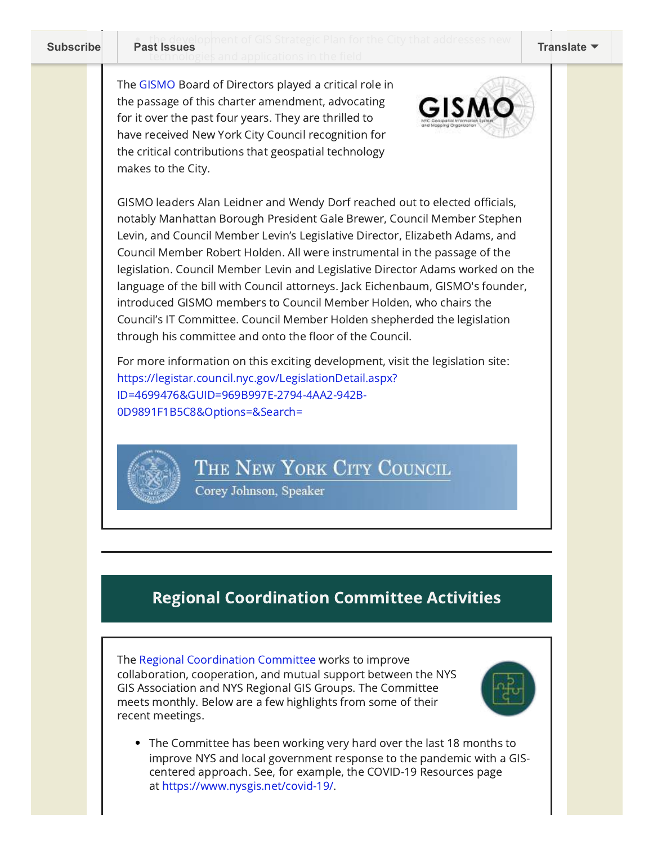technologies and applications in the field **[Subscribe](http://eepurl.com/dPKLiT) [Past Issues](https://us9.campaign-archive.com/home/?u=79136ebe8b18b11ee073cc61c&id=83a9e475cf) Past Issues Past Issues Particle Contract Integrals and Exercises Herr <b>[Translate](javascript:;)** 

The [GISMO](https://www.gismonyc.org/) Board of Directors played a critical role in the passage of this charter amendment, advocating for it over the past four years. They are thrilled to have received New York City Council recognition for the critical contributions that geospatial technology makes to the City.



GISMO leaders Alan Leidner and Wendy Dorf reached out to elected officials, notably Manhattan Borough President Gale Brewer, Council Member Stephen Levin, and Council Member Levin's Legislative Director, Elizabeth Adams, and Council Member Robert Holden. All were instrumental in the passage of the legislation. Council Member Levin and Legislative Director Adams worked on the language of the bill with Council attorneys. Jack Eichenbaum, GISMO's founder, introduced GISMO members to Council Member Holden, who chairs the Council's IT Committee. Council Member Holden shepherded the legislation through his committee and onto the floor of the Council.

For more information on this exciting development, visit the legislation site: [https://legistar.council.nyc.gov/LegislationDetail.aspx?](https://gismonyc-dot-yamm-track.appspot.com/Redirect?ukey=1NCnNE1xqvXSl1twlD57aTQZQT4HCjsab6wkFLqR6zOo-0&key=YAMMID-1640043238430&link=https://legistar.council.nyc.gov/LegislationDetail.aspx?ID=4699476&GUID=969B997E-2794-4AA2-942B-0D9891F1B5C8&Options=&Search=) ID=4699476&GUID=969B997E-2794-4AA2-942B-0D9891F1B5C8&Options=&Search=

THE NEW YORK CITY COUNCIL

Corey Johnson, Speaker

## Regional Coordination Committee Activities

The Regional [Coordination](https://www.nysgis.net/committees/regcoord/) Committee works to improve collaboration, cooperation, and mutual support between the NYS GIS Association and NYS Regional GIS Groups. The Committee meets monthly. Below are a few highlights from some of their recent meetings.



The Committee has been working very hard over the last 18 months to improve NYS and local government response to the pandemic with a GIScentered approach. See, for example, the COVID-19 Resources page at [https://www.nysgis.net/covid-19/.](https://www.nysgis.net/covid-19/)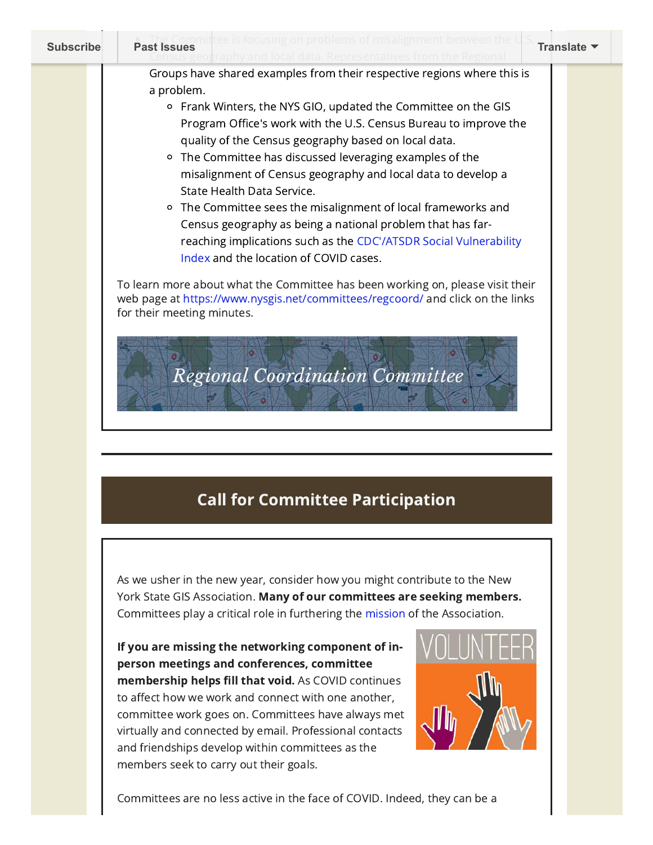| <b>Subscribe</b> | Past Issues<br>Past Issues<br>and local data. Representatives from the Regional                                                                                                                                                                                                                                                                                                                                                                                                                                                                                                                                                                                                                                                                                                                              | Translate ▼ |
|------------------|--------------------------------------------------------------------------------------------------------------------------------------------------------------------------------------------------------------------------------------------------------------------------------------------------------------------------------------------------------------------------------------------------------------------------------------------------------------------------------------------------------------------------------------------------------------------------------------------------------------------------------------------------------------------------------------------------------------------------------------------------------------------------------------------------------------|-------------|
|                  | Groups have shared examples from their respective regions where this is<br>a problem.<br><sup>o</sup> Frank Winters, the NYS GIO, updated the Committee on the GIS<br>Program Office's work with the U.S. Census Bureau to improve the<br>quality of the Census geography based on local data.<br>The Committee has discussed leveraging examples of the<br>$\circ$<br>misalignment of Census geography and local data to develop a<br>State Health Data Service.<br><sup>o</sup> The Committee sees the misalignment of local frameworks and<br>Census geography as being a national problem that has far-<br>reaching implications such as the CDC'/ATSDR Social Vulnerability<br>Index and the location of COVID cases.<br>To learn more about what the Committee has been working on, please visit their |             |
|                  | web page at https://www.nysgis.net/committees/regcoord/ and click on the links<br>for their meeting minutes.<br><b>Regional Coordination Committee</b>                                                                                                                                                                                                                                                                                                                                                                                                                                                                                                                                                                                                                                                       |             |

## Call for Committee Participation

As we usher in the new year, consider how you might contribute to the New York State GIS Association. Many of our committees are seeking members. Committees play a critical role in furthering the [mission](https://www.nysgis.net/about/) of the Association.

If you are missing the networking component of inperson meetings and conferences, committee membership helps fill that void. As COVID continues to affect how we work and connect with one another, committee work goes on. Committees have always met virtually and connected by email. Professional contacts and friendships develop within committees as the members seek to carry out their goals.



Committees are no less active in the face of COVID. Indeed, they can be a